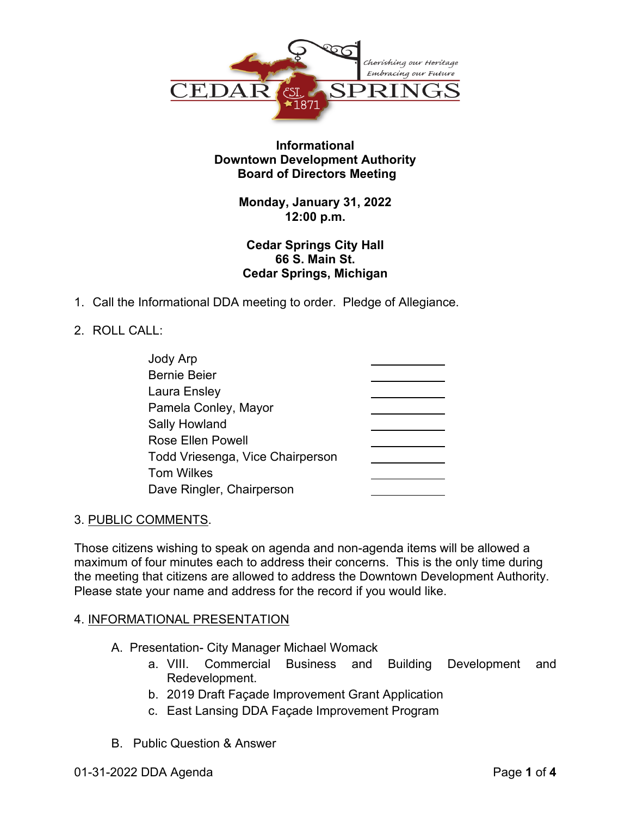

## **Informational Downtown Development Authority Board of Directors Meeting**

## **Monday, January 31, 2022 12:00 p.m.**

## **Cedar Springs City Hall 66 S. Main St. Cedar Springs, Michigan**

1. Call the Informational DDA meeting to order. Pledge of Allegiance.

# 2. ROLL CALL:

| Jody Arp                         |  |
|----------------------------------|--|
| <b>Bernie Beier</b>              |  |
| Laura Ensley                     |  |
| Pamela Conley, Mayor             |  |
| <b>Sally Howland</b>             |  |
| <b>Rose Ellen Powell</b>         |  |
| Todd Vriesenga, Vice Chairperson |  |
| <b>Tom Wilkes</b>                |  |
| Dave Ringler, Chairperson        |  |

### 3. PUBLIC COMMENTS.

Those citizens wishing to speak on agenda and non-agenda items will be allowed a maximum of four minutes each to address their concerns. This is the only time during the meeting that citizens are allowed to address the Downtown Development Authority. Please state your name and address for the record if you would like.

### 4. INFORMATIONAL PRESENTATION

- A. Presentation- City Manager Michael Womack
	- a. VIII. Commercial Business and Building Development and Redevelopment.
	- b. 2019 Draft Façade Improvement Grant Application
	- c. East Lansing DDA Façade Improvement Program
- B. Public Question & Answer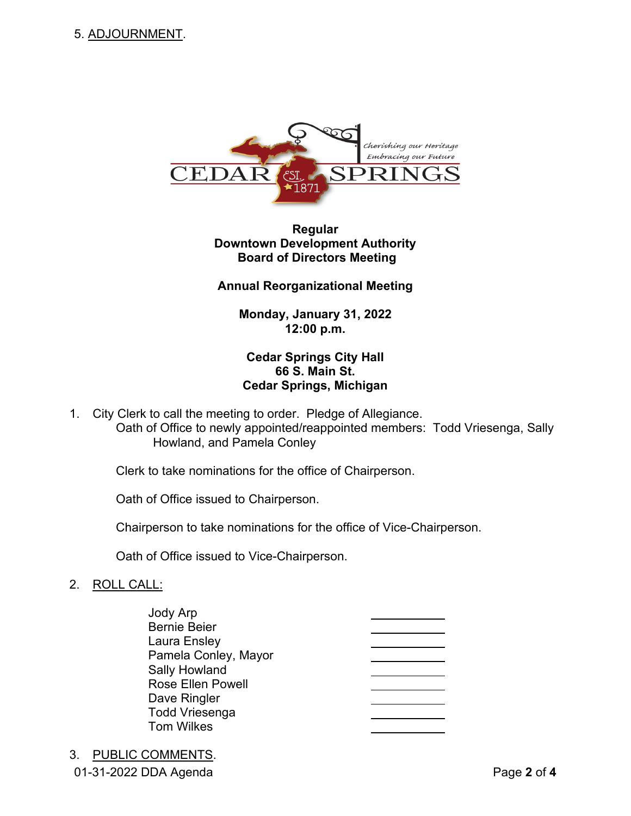

# **Regular Downtown Development Authority Board of Directors Meeting**

#### **Annual Reorganizational Meeting**

**Monday, January 31, 2022 12:00 p.m.**

## **Cedar Springs City Hall 66 S. Main St. Cedar Springs, Michigan**

1. City Clerk to call the meeting to order. Pledge of Allegiance. Oath of Office to newly appointed/reappointed members: Todd Vriesenga, Sally Howland, and Pamela Conley

Clerk to take nominations for the office of Chairperson.

Oath of Office issued to Chairperson.

Chairperson to take nominations for the office of Vice-Chairperson.

Oath of Office issued to Vice-Chairperson.

### 2. ROLL CALL:

Jody Arp Bernie Beier Laura Ensley Pamela Conley, Mayor Sally Howland Rose Ellen Powell Dave Ringler Todd Vriesenga Tom Wilkes

01-31-2022 DDA Agenda Page **2** of **4** 3. PUBLIC COMMENTS.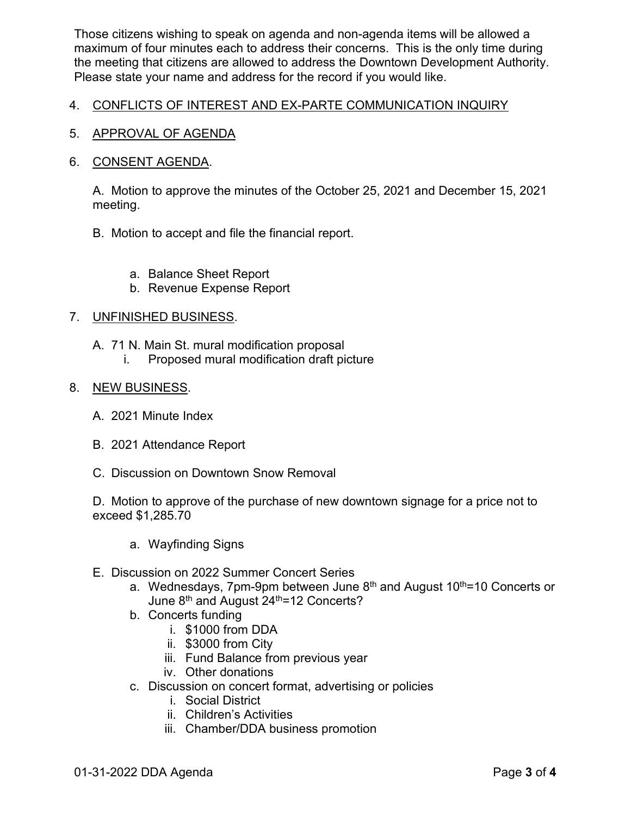Those citizens wishing to speak on agenda and non-agenda items will be allowed a maximum of four minutes each to address their concerns. This is the only time during the meeting that citizens are allowed to address the Downtown Development Authority. Please state your name and address for the record if you would like.

### 4. CONFLICTS OF INTEREST AND EX-PARTE COMMUNICATION INQUIRY

5. APPROVAL OF AGENDA

#### 6. CONSENT AGENDA.

A. Motion to approve the minutes of the October 25, 2021 and December 15, 2021 meeting.

- B. Motion to accept and file the financial report.
	- a. Balance Sheet Report
	- b. Revenue Expense Report

#### 7. UNFINISHED BUSINESS.

- A. 71 N. Main St. mural modification proposal
	- i. Proposed mural modification draft picture

#### 8. NEW BUSINESS.

- A. 2021 Minute Index
- B. 2021 Attendance Report
- C. Discussion on Downtown Snow Removal

D. Motion to approve of the purchase of new downtown signage for a price not to exceed \$1,285.70

- a. Wayfinding Signs
- E. Discussion on 2022 Summer Concert Series
	- a. Wednesdays, 7pm-9pm between June  $8<sup>th</sup>$  and August 10<sup>th</sup>=10 Concerts or June 8<sup>th</sup> and August 24<sup>th</sup>=12 Concerts?
	- b. Concerts funding
		- i. \$1000 from DDA
		- ii. \$3000 from City
		- iii. Fund Balance from previous year
		- iv. Other donations
	- c. Discussion on concert format, advertising or policies
		- i. Social District
		- ii. Children's Activities
		- iii. Chamber/DDA business promotion